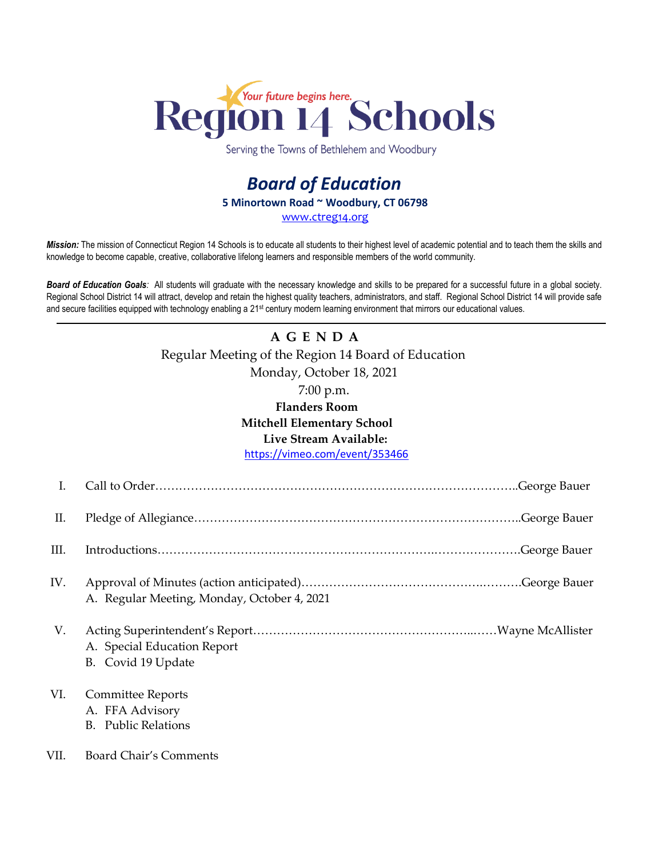

Serving the Towns of Bethlehem and Woodbury

## *Board of Education* **5 Minortown Road ~ Woodbury, CT 06798** [www.ctreg14.org](http://www.ctreg14.org/)

*Mission:* The mission of Connecticut Region 14 Schools is to educate all students to their highest level of academic potential and to teach them the skills and knowledge to become capable, creative, collaborative lifelong learners and responsible members of the world community.

*Board of Education Goals:* All students will graduate with the necessary knowledge and skills to be prepared for a successful future in a global society. Regional School District 14 will attract, develop and retain the highest quality teachers, administrators, and staff. Regional School District 14 will provide safe and secure facilities equipped with technology enabling a 21<sup>st</sup> century modern learning environment that mirrors our educational values.

# **A G E N D A** Regular Meeting of the Region 14 Board of Education Monday, October 18, 2021 7:00 p.m. **Flanders Room**

### **Mitchell Elementary School**

### **Live Stream Available:**

<https://vimeo.com/event/353466>

| Ι.   |                                                                       |
|------|-----------------------------------------------------------------------|
| П.   |                                                                       |
| III. |                                                                       |
| IV.  | A. Regular Meeting, Monday, October 4, 2021                           |
| V.   | A. Special Education Report<br>B. Covid 19 Update                     |
| VI.  | Committee Reports<br>A. FFA Advisory<br><b>Public Relations</b><br>B. |
| VII. | Board Chair's Comments                                                |